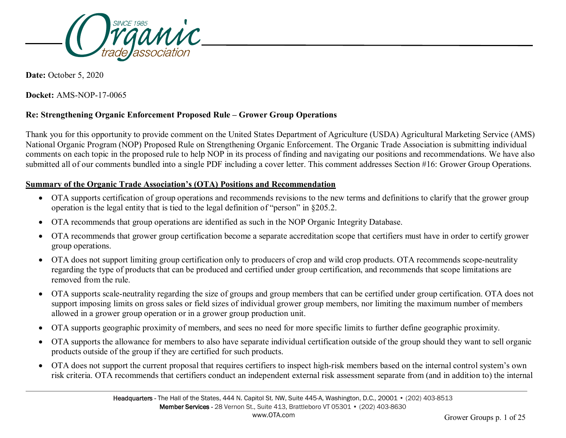

**Date:** October 5, 2020

**Docket:** AMS-NOP-17-0065

### **Re: Strengthening Organic Enforcement Proposed Rule – Grower Group Operations**

Thank you for this opportunity to provide comment on the United States Department of Agriculture (USDA) Agricultural Marketing Service (AMS) National Organic Program (NOP) Proposed Rule on Strengthening Organic Enforcement. The Organic Trade Association is submitting individual comments on each topic in the proposed rule to help NOP in its process of finding and navigating our positions and recommendations. We have also submitted all of our comments bundled into a single PDF including a cover letter. This comment addresses Section #16: Grower Group Operations.

### **Summary of the Organic Trade Association's (OTA) Positions and Recommendation**

- OTA supports certification of group operations and recommends revisions to the new terms and definitions to clarify that the grower group operation is the legal entity that is tied to the legal definition of "person" in §205.2.
- OTA recommends that group operations are identified as such in the NOP Organic Integrity Database.
- OTA recommends that grower group certification become a separate accreditation scope that certifiers must have in order to certify grower group operations.
- OTA does not support limiting group certification only to producers of crop and wild crop products. OTA recommends scope-neutrality regarding the type of products that can be produced and certified under group certification, and recommends that scope limitations are removed from the rule.
- OTA supports scale-neutrality regarding the size of groups and group members that can be certified under group certification. OTA does not support imposing limits on gross sales or field sizes of individual grower group members, nor limiting the maximum number of members allowed in a grower group operation or in a grower group production unit.
- OTA supports geographic proximity of members, and sees no need for more specific limits to further define geographic proximity.
- OTA supports the allowance for members to also have separate individual certification outside of the group should they want to sell organic products outside of the group if they are certified for such products.
- OTA does not support the current proposal that requires certifiers to inspect high-risk members based on the internal control system's own risk criteria. OTA recommends that certifiers conduct an independent external risk assessment separate from (and in addition to) the internal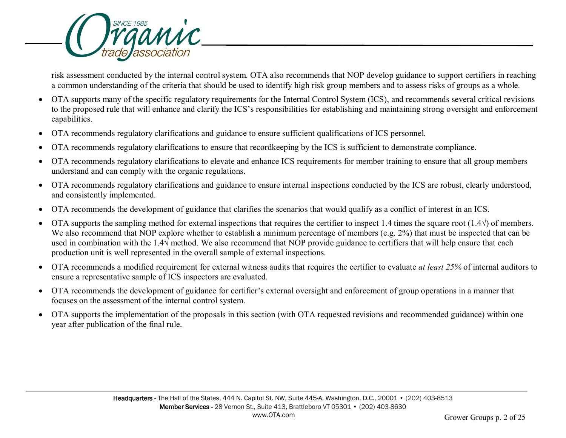

risk assessment conducted by the internal control system. OTA also recommends that NOP develop guidance to support certifiers in reaching a common understanding of the criteria that should be used to identify high risk group members and to assess risks of groups as a whole.

- OTA supports many of the specific regulatory requirements for the Internal Control System (ICS), and recommends several critical revisions to the proposed rule that will enhance and clarify the ICS's responsibilities for establishing and maintaining strong oversight and enforcement capabilities.
- OTA recommends regulatory clarifications and guidance to ensure sufficient qualifications of ICS personnel.
- OTA recommends regulatory clarifications to ensure that recordkeeping by the ICS is sufficient to demonstrate compliance.
- OTA recommends regulatory clarifications to elevate and enhance ICS requirements for member training to ensure that all group members understand and can comply with the organic regulations.
- OTA recommends regulatory clarifications and guidance to ensure internal inspections conducted by the ICS are robust, clearly understood, and consistently implemented.
- OTA recommends the development of guidance that clarifies the scenarios that would qualify as a conflict of interest in an ICS.
- OTA supports the sampling method for external inspections that requires the certifier to inspect 1.4 times the square root (1.4 $\sqrt{ }$ ) of members. We also recommend that NOP explore whether to establish a minimum percentage of members (e.g. 2%) that must be inspected that can be used in combination with the 1.4√ method. We also recommend that NOP provide guidance to certifiers that will help ensure that each production unit is well represented in the overall sample of external inspections.
- OTA recommends a modified requirement for external witness audits that requires the certifier to evaluate *at least 25%* of internal auditors to ensure a representative sample of ICS inspectors are evaluated.
- OTA recommends the development of guidance for certifier's external oversight and enforcement of group operations in a manner that focuses on the assessment of the internal control system.
- OTA supports the implementation of the proposals in this section (with OTA requested revisions and recommended guidance) within one year after publication of the final rule.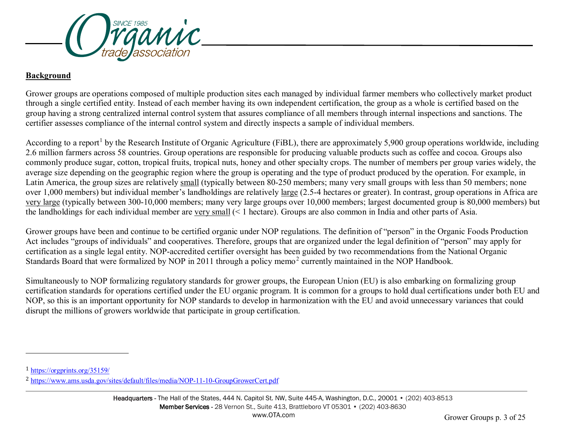<span id="page-2-1"></span><span id="page-2-0"></span>

### **Background**

Grower groups are operations composed of multiple production sites each managed by individual farmer members who collectively market product through a single certified entity. Instead of each member having its own independent certification, the group as a whole is certified based on the group having a strong centralized internal control system that assures compliance of all members through internal inspections and sanctions. The certifier assesses compliance of the internal control system and directly inspects a sample of individual members.

According to a report<sup>[1](#page-2-0)</sup> by the Research Institute of Organic Agriculture (FiBL), there are approximately 5,900 group operations worldwide, including 2.6 million farmers across 58 countries. Group operations are responsible for producing valuable products such as coffee and cocoa. Groups also commonly produce sugar, cotton, tropical fruits, tropical nuts, honey and other specialty crops. The number of members per group varies widely, the average size depending on the geographic region where the group is operating and the type of product produced by the operation. For example, in Latin America, the group sizes are relatively small (typically between 80-250 members; many very small groups with less than 50 members; none over 1,000 members) but individual member's landholdings are relatively large (2.5-4 hectares or greater). In contrast, group operations in Africa are very large (typically between 300-10,000 members; many very large groups over 10,000 members; largest documented group is 80,000 members) but the landholdings for each individual member are very small (< 1 hectare). Groups are also common in India and other parts of Asia.

Grower groups have been and continue to be certified organic under NOP regulations. The definition of "person" in the Organic Foods Production Act includes "groups of individuals" and cooperatives. Therefore, groups that are organized under the legal definition of "person" may apply for certification as a single legal entity. NOP-accredited certifier oversight has been guided by two recommendations from the National Organic Standards Board that were formalized by NOP in [2](#page-2-1)011 through a policy memo<sup>2</sup> currently maintained in the NOP Handbook.

Simultaneously to NOP formalizing regulatory standards for grower groups, the European Union (EU) is also embarking on formalizing group certification standards for operations certified under the EU organic program. It is common for a groups to hold dual certifications under both EU and NOP, so this is an important opportunity for NOP standards to develop in harmonization with the EU and avoid unnecessary variances that could disrupt the millions of growers worldwide that participate in group certification.

j

<sup>1</sup> <https://orgprints.org/35159/>

<sup>2</sup> <https://www.ams.usda.gov/sites/default/files/media/NOP-11-10-GroupGrowerCert.pdf>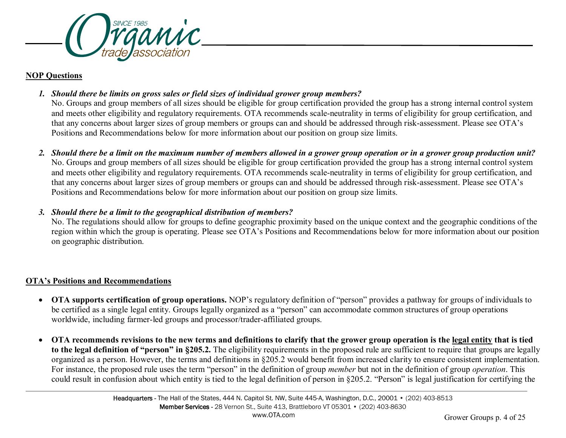

#### **NOP Questions**

*1. Should there be limits on gross sales or field sizes of individual grower group members?* 

No. Groups and group members of all sizes should be eligible for group certification provided the group has a strong internal control system and meets other eligibility and regulatory requirements. OTA recommends scale-neutrality in terms of eligibility for group certification, and that any concerns about larger sizes of group members or groups can and should be addressed through risk-assessment. Please see OTA's Positions and Recommendations below for more information about our position on group size limits.

*2. Should there be a limit on the maximum number of members allowed in a grower group operation or in a grower group production unit?*  No. Groups and group members of all sizes should be eligible for group certification provided the group has a strong internal control system and meets other eligibility and regulatory requirements. OTA recommends scale-neutrality in terms of eligibility for group certification, and that any concerns about larger sizes of group members or groups can and should be addressed through risk-assessment. Please see OTA's Positions and Recommendations below for more information about our position on group size limits.

## *3. Should there be a limit to the geographical distribution of members?*

No. The regulations should allow for groups to define geographic proximity based on the unique context and the geographic conditions of the region within which the group is operating. Please see OTA's Positions and Recommendations below for more information about our position on geographic distribution.

# **OTA's Positions and Recommendations**

- **OTA supports certification of group operations.** NOP's regulatory definition of "person" provides a pathway for groups of individuals to be certified as a single legal entity. Groups legally organized as a "person" can accommodate common structures of group operations worldwide, including farmer-led groups and processor/trader-affiliated groups.
- **OTA recommends revisions to the new terms and definitions to clarify that the grower group operation is the legal entity that is tied to the legal definition of "person" in §205.2.** The eligibility requirements in the proposed rule are sufficient to require that groups are legally organized as a person. However, the terms and definitions in §205.2 would benefit from increased clarity to ensure consistent implementation. For instance, the proposed rule uses the term "person" in the definition of group *member* but not in the definition of group *operation*. This could result in confusion about which entity is tied to the legal definition of person in §205.2. "Person" is legal justification for certifying the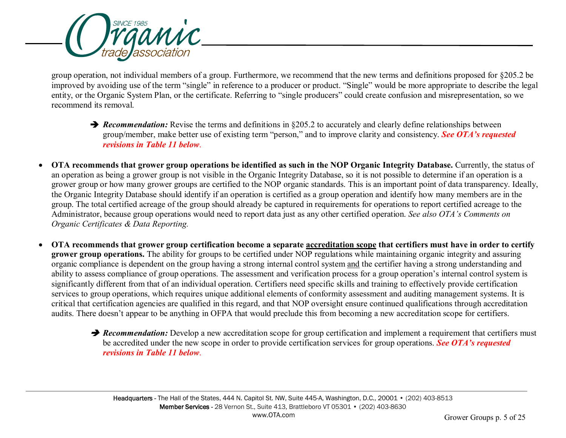

group operation, not individual members of a group. Furthermore, we recommend that the new terms and definitions proposed for §205.2 be improved by avoiding use of the term "single" in reference to a producer or product. "Single" would be more appropriate to describe the legal entity, or the Organic System Plan, or the certificate. Referring to "single producers" could create confusion and misrepresentation, so we recommend its removal.

- **→** *Recommendation:* Revise the terms and definitions in §205.2 to accurately and clearly define relationships between group/member, make better use of existing term "person," and to improve clarity and consistency. *See OTA's requested revisions in Table 11 below*.
- **OTA recommends that grower group operations be identified as such in the NOP Organic Integrity Database.** Currently, the status of an operation as being a grower group is not visible in the Organic Integrity Database, so it is not possible to determine if an operation is a grower group or how many grower groups are certified to the NOP organic standards. This is an important point of data transparency. Ideally, the Organic Integrity Database should identify if an operation is certified as a group operation and identify how many members are in the group. The total certified acreage of the group should already be captured in requirements for operations to report certified acreage to the Administrator, because group operations would need to report data just as any other certified operation. *See also OTA's Comments on Organic Certificates & Data Reporting.*
- **OTA recommends that grower group certification become a separate accreditation scope that certifiers must have in order to certify grower group operations.** The ability for groups to be certified under NOP regulations while maintaining organic integrity and assuring organic compliance is dependent on the group having a strong internal control system and the certifier having a strong understanding and ability to assess compliance of group operations. The assessment and verification process for a group operation's internal control system is significantly different from that of an individual operation. Certifiers need specific skills and training to effectively provide certification services to group operations, which requires unique additional elements of conformity assessment and auditing management systems. It is critical that certification agencies are qualified in this regard, and that NOP oversight ensure continued qualifications through accreditation audits. There doesn't appear to be anything in OFPA that would preclude this from becoming a new accreditation scope for certifiers.
	- **P** Recommendation: Develop a new accreditation scope for group certification and implement a requirement that certifiers must be accredited under the new scope in order to provide certification services for group operations. *See OTA's requested revisions in Table 11 below*.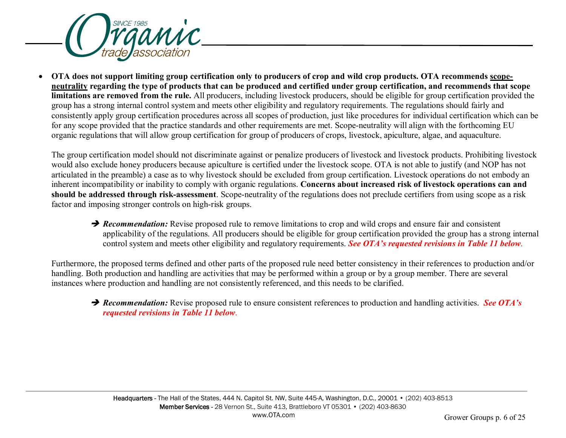

• **OTA does not support limiting group certification only to producers of crop and wild crop products. OTA recommends scopeneutrality regarding the type of products that can be produced and certified under group certification, and recommends that scope limitations are removed from the rule.** All producers, including livestock producers, should be eligible for group certification provided the group has a strong internal control system and meets other eligibility and regulatory requirements. The regulations should fairly and consistently apply group certification procedures across all scopes of production, just like procedures for individual certification which can be for any scope provided that the practice standards and other requirements are met. Scope-neutrality will align with the forthcoming EU organic regulations that will allow group certification for group of producers of crops, livestock, apiculture, algae, and aquaculture.

The group certification model should not discriminate against or penalize producers of livestock and livestock products. Prohibiting livestock would also exclude honey producers because apiculture is certified under the livestock scope. OTA is not able to justify (and NOP has not articulated in the preamble) a case as to why livestock should be excluded from group certification. Livestock operations do not embody an inherent incompatibility or inability to comply with organic regulations. **Concerns about increased risk of livestock operations can and should be addressed through risk-assessment**. Scope-neutrality of the regulations does not preclude certifiers from using scope as a risk factor and imposing stronger controls on high-risk groups.

**→ Recommendation:** Revise proposed rule to remove limitations to crop and wild crops and ensure fair and consistent applicability of the regulations. All producers should be eligible for group certification provided the group has a strong internal control system and meets other eligibility and regulatory requirements. *See OTA's requested revisions in Table 11 below*.

Furthermore, the proposed terms defined and other parts of the proposed rule need better consistency in their references to production and/or handling. Both production and handling are activities that may be performed within a group or by a group member. There are several instances where production and handling are not consistently referenced, and this needs to be clarified.

→ *Recommendation:* Revise proposed rule to ensure consistent references to production and handling activities. See OTA's *requested revisions in Table 11 below*.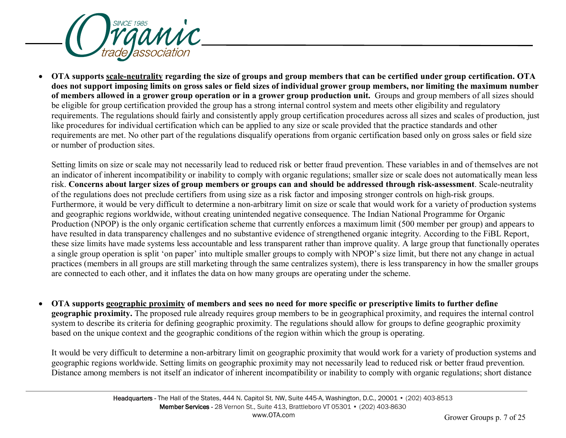

• **OTA supports scale-neutrality regarding the size of groups and group members that can be certified under group certification. OTA does not support imposing limits on gross sales or field sizes of individual grower group members, nor limiting the maximum number of members allowed in a grower group operation or in a grower group production unit.** Groups and group members of all sizes should be eligible for group certification provided the group has a strong internal control system and meets other eligibility and regulatory requirements. The regulations should fairly and consistently apply group certification procedures across all sizes and scales of production, just like procedures for individual certification which can be applied to any size or scale provided that the practice standards and other requirements are met. No other part of the regulations disqualify operations from organic certification based only on gross sales or field size or number of production sites.

Setting limits on size or scale may not necessarily lead to reduced risk or better fraud prevention. These variables in and of themselves are not an indicator of inherent incompatibility or inability to comply with organic regulations; smaller size or scale does not automatically mean less risk. **Concerns about larger sizes of group members or groups can and should be addressed through risk-assessment**. Scale-neutrality of the regulations does not preclude certifiers from using size as a risk factor and imposing stronger controls on high-risk groups. Furthermore, it would be very difficult to determine a non-arbitrary limit on size or scale that would work for a variety of production systems and geographic regions worldwide, without creating unintended negative consequence. The Indian National Programme for Organic Production (NPOP) is the only organic certification scheme that currently enforces a maximum limit (500 member per group) and appears to have resulted in data transparency challenges and no substantive evidence of strengthened organic integrity. According to the FiBL Report, these size limits have made systems less accountable and less transparent rather than improve quality. A large group that functionally operates a single group operation is split 'on paper' into multiple smaller groups to comply with NPOP's size limit, but there not any change in actual practices (members in all groups are still marketing through the same centralizes system), there is less transparency in how the smaller groups are connected to each other, and it inflates the data on how many groups are operating under the scheme.

• **OTA supports geographic proximity of members and sees no need for more specific or prescriptive limits to further define geographic proximity.** The proposed rule already requires group members to be in geographical proximity, and requires the internal control system to describe its criteria for defining geographic proximity. The regulations should allow for groups to define geographic proximity based on the unique context and the geographic conditions of the region within which the group is operating.

It would be very difficult to determine a non-arbitrary limit on geographic proximity that would work for a variety of production systems and geographic regions worldwide. Setting limits on geographic proximity may not necessarily lead to reduced risk or better fraud prevention. Distance among members is not itself an indicator of inherent incompatibility or inability to comply with organic regulations; short distance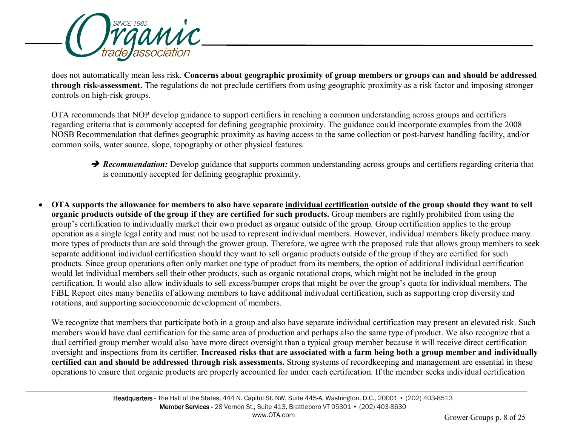

does not automatically mean less risk. **Concerns about geographic proximity of group members or groups can and should be addressed through risk-assessment.** The regulations do not preclude certifiers from using geographic proximity as a risk factor and imposing stronger controls on high-risk groups.

OTA recommends that NOP develop guidance to support certifiers in reaching a common understanding across groups and certifiers regarding criteria that is commonly accepted for defining geographic proximity. The guidance could incorporate examples from the 2008 NOSB Recommendation that defines geographic proximity as having access to the same collection or post-harvest handling facility, and/or common soils, water source, slope, topography or other physical features.

- **P** Recommendation: Develop guidance that supports common understanding across groups and certifiers regarding criteria that is commonly accepted for defining geographic proximity.
- **OTA supports the allowance for members to also have separate individual certification outside of the group should they want to sell organic products outside of the group if they are certified for such products.** Group members are rightly prohibited from using the group's certification to individually market their own product as organic outside of the group. Group certification applies to the group operation as a single legal entity and must not be used to represent individual members. However, individual members likely produce many more types of products than are sold through the grower group. Therefore, we agree with the proposed rule that allows group members to seek separate additional individual certification should they want to sell organic products outside of the group if they are certified for such products. Since group operations often only market one type of product from its members, the option of additional individual certification would let individual members sell their other products, such as organic rotational crops, which might not be included in the group certification. It would also allow individuals to sell excess/bumper crops that might be over the group's quota for individual members. The FiBL Report cites many benefits of allowing members to have additional individual certification, such as supporting crop diversity and rotations, and supporting socioeconomic development of members.

We recognize that members that participate both in a group and also have separate individual certification may present an elevated risk. Such members would have dual certification for the same area of production and perhaps also the same type of product. We also recognize that a dual certified group member would also have more direct oversight than a typical group member because it will receive direct certification oversight and inspections from its certifier. **Increased risks that are associated with a farm being both a group member and individually certified can and should be addressed through risk assessments.** Strong systems of recordkeeping and management are essential in these operations to ensure that organic products are properly accounted for under each certification. If the member seeks individual certification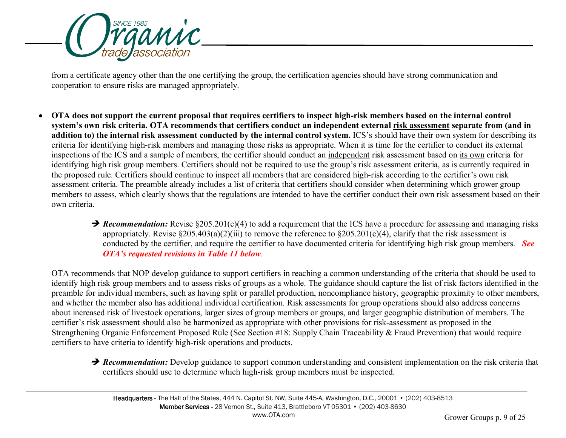

from a certificate agency other than the one certifying the group, the certification agencies should have strong communication and cooperation to ensure risks are managed appropriately.

- **OTA does not support the current proposal that requires certifiers to inspect high-risk members based on the internal control system's own risk criteria. OTA recommends that certifiers conduct an independent external risk assessment separate from (and in addition to) the internal risk assessment conducted by the internal control system.** ICS's should have their own system for describing its criteria for identifying high-risk members and managing those risks as appropriate. When it is time for the certifier to conduct its external inspections of the ICS and a sample of members, the certifier should conduct an independent risk assessment based on its own criteria for identifying high risk group members. Certifiers should not be required to use the group's risk assessment criteria, as is currently required in the proposed rule. Certifiers should continue to inspect all members that are considered high-risk according to the certifier's own risk assessment criteria. The preamble already includes a list of criteria that certifiers should consider when determining which grower group members to assess, which clearly shows that the regulations are intended to have the certifier conduct their own risk assessment based on their own criteria.
	- **→ Recommendation:** Revise §205.201(c)(4) to add a requirement that the ICS have a procedure for assessing and managing risks appropriately. Revise  $\S 205.403(a)(2)(iii)$  to remove the reference to  $\S 205.201(c)(4)$ , clarify that the risk assessment is conducted by the certifier, and require the certifier to have documented criteria for identifying high risk group members. *See OTA's requested revisions in Table 11 below*.

OTA recommends that NOP develop guidance to support certifiers in reaching a common understanding of the criteria that should be used to identify high risk group members and to assess risks of groups as a whole. The guidance should capture the list of risk factors identified in the preamble for individual members, such as having split or parallel production, noncompliance history, geographic proximity to other members, and whether the member also has additional individual certification. Risk assessments for group operations should also address concerns about increased risk of livestock operations, larger sizes of group members or groups, and larger geographic distribution of members. The certifier's risk assessment should also be harmonized as appropriate with other provisions for risk-assessment as proposed in the Strengthening Organic Enforcement Proposed Rule (See Section #18: Supply Chain Traceability & Fraud Prevention) that would require certifiers to have criteria to identify high-risk operations and products.

**P** Recommendation: Develop guidance to support common understanding and consistent implementation on the risk criteria that certifiers should use to determine which high-risk group members must be inspected.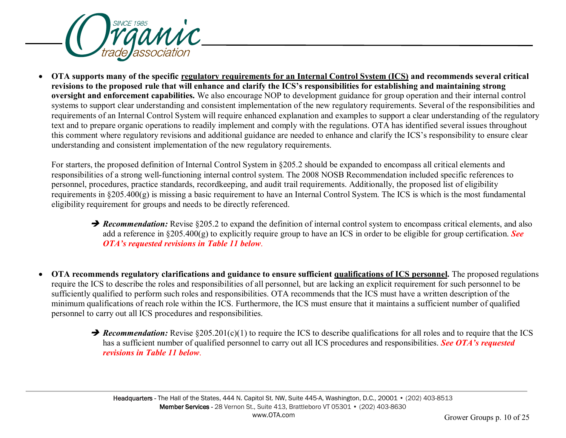

• **OTA supports many of the specific regulatory requirements for an Internal Control System (ICS) and recommends several critical revisions to the proposed rule that will enhance and clarify the ICS's responsibilities for establishing and maintaining strong oversight and enforcement capabilities.** We also encourage NOP to development guidance for group operation and their internal control systems to support clear understanding and consistent implementation of the new regulatory requirements. Several of the responsibilities and requirements of an Internal Control System will require enhanced explanation and examples to support a clear understanding of the regulatory text and to prepare organic operations to readily implement and comply with the regulations. OTA has identified several issues throughout this comment where regulatory revisions and additional guidance are needed to enhance and clarify the ICS's responsibility to ensure clear understanding and consistent implementation of the new regulatory requirements.

For starters, the proposed definition of Internal Control System in §205.2 should be expanded to encompass all critical elements and responsibilities of a strong well-functioning internal control system. The 2008 NOSB Recommendation included specific references to personnel, procedures, practice standards, recordkeeping, and audit trail requirements. Additionally, the proposed list of eligibility requirements in §205.400(g) is missing a basic requirement to have an Internal Control System. The ICS is which is the most fundamental eligibility requirement for groups and needs to be directly referenced.

- **→ Recommendation:** Revise §205.2 to expand the definition of internal control system to encompass critical elements, and also add a reference in §205.400(g) to explicitly require group to have an ICS in order to be eligible for group certification. *See OTA's requested revisions in Table 11 below*.
- **OTA recommends regulatory clarifications and guidance to ensure sufficient qualifications of ICS personnel.** The proposed regulations require the ICS to describe the roles and responsibilities of all personnel, but are lacking an explicit requirement for such personnel to be sufficiently qualified to perform such roles and responsibilities. OTA recommends that the ICS must have a written description of the minimum qualifications of reach role within the ICS. Furthermore, the ICS must ensure that it maintains a sufficient number of qualified personnel to carry out all ICS procedures and responsibilities.
	- **→ Recommendation:** Revise §205.201(c)(1) to require the ICS to describe qualifications for all roles and to require that the ICS has a sufficient number of qualified personnel to carry out all ICS procedures and responsibilities. *See OTA's requested revisions in Table 11 below*.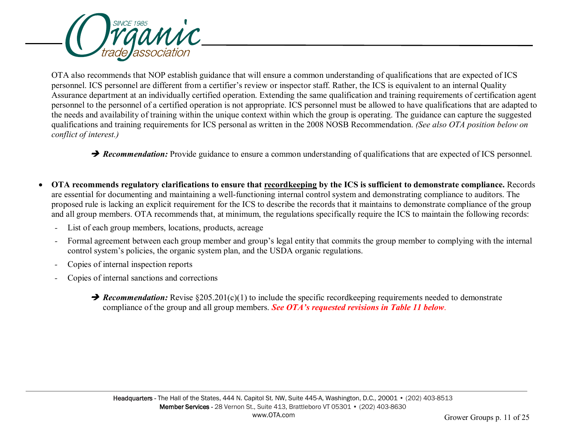

OTA also recommends that NOP establish guidance that will ensure a common understanding of qualifications that are expected of ICS personnel. ICS personnel are different from a certifier's review or inspector staff. Rather, the ICS is equivalent to an internal Quality Assurance department at an individually certified operation. Extending the same qualification and training requirements of certification agent personnel to the personnel of a certified operation is not appropriate. ICS personnel must be allowed to have qualifications that are adapted to the needs and availability of training within the unique context within which the group is operating. The guidance can capture the suggested qualifications and training requirements for ICS personal as written in the 2008 NOSB Recommendation. *(See also OTA position below on conflict of interest.)*

**→ Recommendation:** Provide guidance to ensure a common understanding of qualifications that are expected of ICS personnel.

- **OTA recommends regulatory clarifications to ensure that recordkeeping by the ICS is sufficient to demonstrate compliance.** Records are essential for documenting and maintaining a well-functioning internal control system and demonstrating compliance to auditors. The proposed rule is lacking an explicit requirement for the ICS to describe the records that it maintains to demonstrate compliance of the group and all group members. OTA recommends that, at minimum, the regulations specifically require the ICS to maintain the following records:
	- *-* List of each group members, locations, products, acreage
	- *-* Formal agreement between each group member and group's legal entity that commits the group member to complying with the internal control system's policies, the organic system plan, and the USDA organic regulations.
	- *-* Copies of internal inspection reports
	- *-* Copies of internal sanctions and corrections
		- **→ Recommendation:** Revise §205.201(c)(1) to include the specific recordkeeping requirements needed to demonstrate compliance of the group and all group members. *See OTA's requested revisions in Table 11 below*.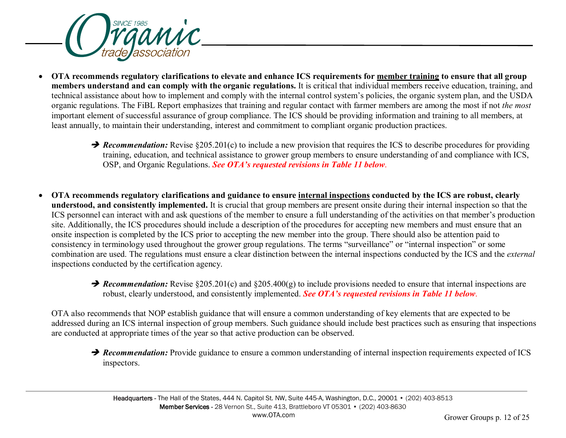

- **OTA recommends regulatory clarifications to elevate and enhance ICS requirements for member training to ensure that all group members understand and can comply with the organic regulations.** It is critical that individual members receive education, training, and technical assistance about how to implement and comply with the internal control system's policies, the organic system plan, and the USDA organic regulations. The FiBL Report emphasizes that training and regular contact with farmer members are among the most if not *the most* important element of successful assurance of group compliance. The ICS should be providing information and training to all members, at least annually, to maintain their understanding, interest and commitment to compliant organic production practices.
	- **→ Recommendation:** Revise §205.201(c) to include a new provision that requires the ICS to describe procedures for providing training, education, and technical assistance to grower group members to ensure understanding of and compliance with ICS, OSP, and Organic Regulations. *See OTA's requested revisions in Table 11 below*.
- **OTA recommends regulatory clarifications and guidance to ensure internal inspections conducted by the ICS are robust, clearly understood, and consistently implemented.** It is crucial that group members are present onsite during their internal inspection so that the ICS personnel can interact with and ask questions of the member to ensure a full understanding of the activities on that member's production site. Additionally, the ICS procedures should include a description of the procedures for accepting new members and must ensure that an onsite inspection is completed by the ICS prior to accepting the new member into the group. There should also be attention paid to consistency in terminology used throughout the grower group regulations. The terms "surveillance" or "internal inspection" or some combination are used. The regulations must ensure a clear distinction between the internal inspections conducted by the ICS and the *external* inspections conducted by the certification agency.
	- **→ Recommendation:** Revise §205.201(c) and §205.400(g) to include provisions needed to ensure that internal inspections are robust, clearly understood, and consistently implemented. *See OTA's requested revisions in Table 11 below*.

OTA also recommends that NOP establish guidance that will ensure a common understanding of key elements that are expected to be addressed during an ICS internal inspection of group members. Such guidance should include best practices such as ensuring that inspections are conducted at appropriate times of the year so that active production can be observed.

**P** Recommendation: Provide guidance to ensure a common understanding of internal inspection requirements expected of ICS inspectors.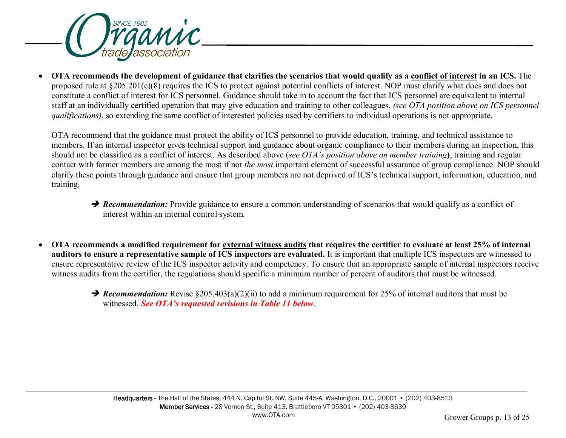

• **OTA recommends the development of guidance that clarifies the scenarios that would qualify as a conflict of interest in an ICS.** The proposed rule at §205.201(c)(8) requires the ICS to protect against potential conflicts of interest. NOP must clarify what does and does not constitute a conflict of interest for ICS personnel. Guidance should take in to account the fact that ICS personnel are equivalent to internal staff at an individually certified operation that may give education and training to other colleagues, *(see OTA position above on ICS personnel qualifications)*, so extending the same conflict of interested policies used by certifiers to individual operations is not appropriate.

OTA recommend that the guidance must protect the ability of ICS personnel to provide education, training, and technical assistance to members. If an internal inspector gives technical support and guidance about organic compliance to their members during an inspection, this should not be classified as a conflict of interest. As described above (*see OTA's position above on member training***)**, training and regular contact with farmer members are among the most if not *the most* important element of successful assurance of group compliance. NOP should clarify these points through guidance and ensure that group members are not deprived of ICS's technical support, information, education, and training.

- **P** Recommendation: Provide guidance to ensure a common understanding of scenarios that would qualify as a conflict of interest within an internal control system.
- **OTA recommends a modified requirement for external witness audits that requires the certifier to evaluate at least 25% of internal auditors to ensure a representative sample of ICS inspectors are evaluated.** It is important that multiple ICS inspectors are witnessed to ensure representative review of the ICS inspector activity and competency. To ensure that an appropriate sample of internal inspectors receive witness audits from the certifier, the regulations should specific a minimum number of percent of auditors that must be witnessed.
	- **→ Recommendation:** Revise §205.403(a)(2)(ii) to add a minimum requirement for 25% of internal auditors that must be witnessed. *See OTA's requested revisions in Table 11 below*.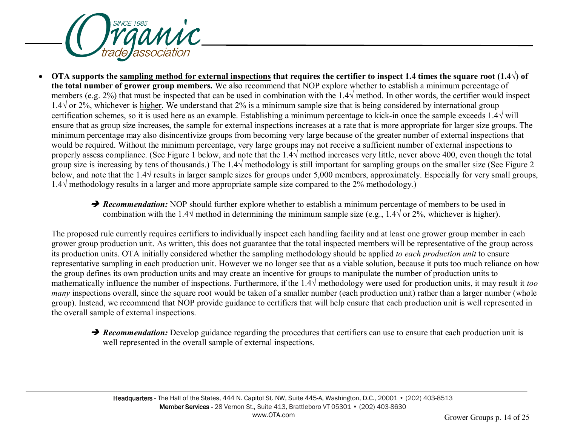

- **OTA** supports the sampling method for external inspections that requires the certifier to inspect 1.4 times the square root  $(1.4\sqrt{ } )$  of **the total number of grower group members.** We also recommend that NOP explore whether to establish a minimum percentage of members (e.g. 2%) that must be inspected that can be used in combination with the 1.4 $\sqrt{\frac{m}{m}}$  method. In other words, the certifier would inspect 1.4√ or 2%, whichever is higher. We understand that 2% is a minimum sample size that is being considered by international group certification schemes, so it is used here as an example. Establishing a minimum percentage to kick-in once the sample exceeds  $1.4\sqrt{\text{will}}$ ensure that as group size increases, the sample for external inspections increases at a rate that is more appropriate for larger size groups. The minimum percentage may also disincentivize groups from becoming very large because of the greater number of external inspections that would be required. Without the minimum percentage, very large groups may not receive a sufficient number of external inspections to properly assess compliance. (See Figure 1 below, and note that the  $1.4\sqrt{\text{method}}$  increases very little, never above 400, even though the total group size is increasing by tens of thousands.) The  $1.4\sqrt{\text{methodology}}$  is still important for sampling groups on the smaller size (See Figure 2) below, and note that the 1.4 $\sqrt{\ }$  results in larger sample sizes for groups under 5,000 members, approximately. Especially for very small groups, 1.4√ methodology results in a larger and more appropriate sample size compared to the 2% methodology.)
	- **P** Recommendation: NOP should further explore whether to establish a minimum percentage of members to be used in combination with the 1.4 $\sqrt{ }$  method in determining the minimum sample size (e.g., 1.4 $\sqrt{ }$  or 2%, whichever is higher).

The proposed rule currently requires certifiers to individually inspect each handling facility and at least one grower group member in each grower group production unit. As written, this does not guarantee that the total inspected members will be representative of the group across its production units. OTA initially considered whether the sampling methodology should be applied *to each production unit* to ensure representative sampling in each production unit. However we no longer see that as a viable solution, because it puts too much reliance on how the group defines its own production units and may create an incentive for groups to manipulate the number of production units to mathematically influence the number of inspections. Furthermore, if the 1.4√ methodology were used for production units, it may result it *too many* inspections overall, since the square root would be taken of a smaller number (each production unit) rather than a larger number (whole group). Instead, we recommend that NOP provide guidance to certifiers that will help ensure that each production unit is well represented in the overall sample of external inspections.

**P** Recommendation: Develop guidance regarding the procedures that certifiers can use to ensure that each production unit is well represented in the overall sample of external inspections.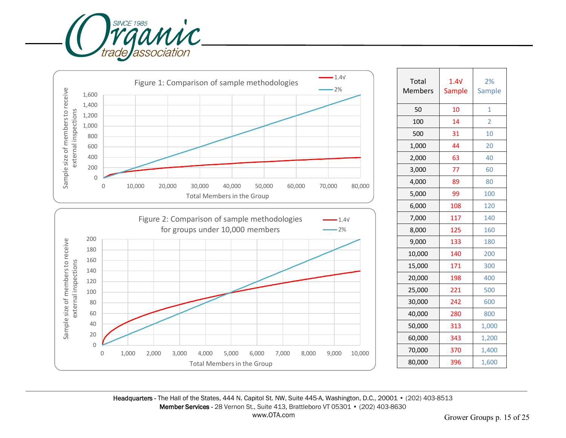



| Total<br><b>Members</b> | 1.4 <sub>V</sub><br><b>Sample</b> | 2%<br>Sample   |
|-------------------------|-----------------------------------|----------------|
| 50                      | 10                                | 1              |
| 100                     | 14                                | $\overline{2}$ |
| 500                     | 31                                | 10             |
| 1,000                   | 44                                | 20             |
| 2,000                   | 63                                | 40             |
| 3,000                   | 77                                | 60             |
| 4,000                   | 89                                | 80             |
| 5,000                   | 99                                | 100            |
| 6,000                   | 108                               | 120            |
| 7,000                   | 117                               | 140            |
| 8,000                   | 125                               | 160            |
| 9,000                   | 133                               | 180            |
| 10,000                  | 140                               | 200            |
| 15,000                  | 171                               | 300            |
| 20,000                  | 198                               | 400            |
| 25,000                  | 221                               | 500            |
| 30,000                  | 242                               | 600            |
| 40,000                  | 280                               | 800            |
| 50,000                  | 313                               | 1,000          |
| 60,000                  | 343                               | 1,200          |
| 70,000                  | 370                               | 1,400          |
| 80,000                  | 396                               | 1,600          |

Headquarters - The Hall of the States, 444 N. Capitol St. NW, Suite 445-A, Washington, D.C., 20001 • (202) 403-8513 Member Services - 28 Vernon St., Suite 413, Brattleboro VT 05301 • (202) 403-8630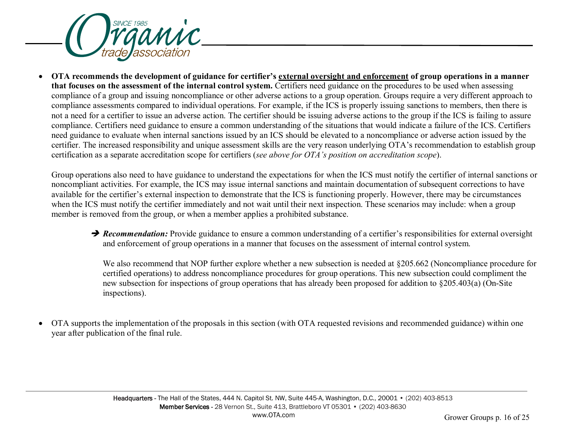

• **OTA recommends the development of guidance for certifier's external oversight and enforcement of group operations in a manner that focuses on the assessment of the internal control system.** Certifiers need guidance on the procedures to be used when assessing compliance of a group and issuing noncompliance or other adverse actions to a group operation. Groups require a very different approach to compliance assessments compared to individual operations. For example, if the ICS is properly issuing sanctions to members, then there is not a need for a certifier to issue an adverse action. The certifier should be issuing adverse actions to the group if the ICS is failing to assure compliance. Certifiers need guidance to ensure a common understanding of the situations that would indicate a failure of the ICS. Certifiers need guidance to evaluate when internal sanctions issued by an ICS should be elevated to a noncompliance or adverse action issued by the certifier. The increased responsibility and unique assessment skills are the very reason underlying OTA's recommendation to establish group certification as a separate accreditation scope for certifiers (*see above for OTA's position on accreditation scope*).

Group operations also need to have guidance to understand the expectations for when the ICS must notify the certifier of internal sanctions or noncompliant activities. For example, the ICS may issue internal sanctions and maintain documentation of subsequent corrections to have available for the certifier's external inspection to demonstrate that the ICS is functioning properly. However, there may be circumstances when the ICS must notify the certifier immediately and not wait until their next inspection. These scenarios may include: when a group member is removed from the group, or when a member applies a prohibited substance.

**→ Recommendation:** Provide guidance to ensure a common understanding of a certifier's responsibilities for external oversight and enforcement of group operations in a manner that focuses on the assessment of internal control system.

We also recommend that NOP further explore whether a new subsection is needed at §205.662 (Noncompliance procedure for certified operations) to address noncompliance procedures for group operations. This new subsection could compliment the new subsection for inspections of group operations that has already been proposed for addition to §205.403(a) (On-Site inspections).

• OTA supports the implementation of the proposals in this section (with OTA requested revisions and recommended guidance) within one year after publication of the final rule.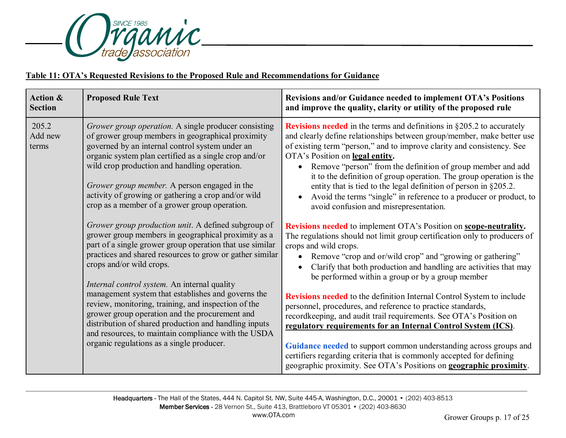

# **Table 11: OTA's Requested Revisions to the Proposed Rule and Recommendations for Guidance**

| <b>Action &amp;</b><br><b>Section</b> | <b>Proposed Rule Text</b>                                                                                                                                                                                                                                                                                                                                                                                                                                                                                                                                                                                                                                                                                                                                                                                                                                                                                                                                                                                                                                                   | Revisions and/or Guidance needed to implement OTA's Positions<br>and improve the quality, clarity or utility of the proposed rule                                                                                                                                                                                                                                                                                                                                                                                                                                                                                                                                                                                                                                                                                                                                                                                                                                                                                                                                                                                                                                                                                                                                                                                                                                                                                                                                                           |
|---------------------------------------|-----------------------------------------------------------------------------------------------------------------------------------------------------------------------------------------------------------------------------------------------------------------------------------------------------------------------------------------------------------------------------------------------------------------------------------------------------------------------------------------------------------------------------------------------------------------------------------------------------------------------------------------------------------------------------------------------------------------------------------------------------------------------------------------------------------------------------------------------------------------------------------------------------------------------------------------------------------------------------------------------------------------------------------------------------------------------------|---------------------------------------------------------------------------------------------------------------------------------------------------------------------------------------------------------------------------------------------------------------------------------------------------------------------------------------------------------------------------------------------------------------------------------------------------------------------------------------------------------------------------------------------------------------------------------------------------------------------------------------------------------------------------------------------------------------------------------------------------------------------------------------------------------------------------------------------------------------------------------------------------------------------------------------------------------------------------------------------------------------------------------------------------------------------------------------------------------------------------------------------------------------------------------------------------------------------------------------------------------------------------------------------------------------------------------------------------------------------------------------------------------------------------------------------------------------------------------------------|
| 205.2<br>Add new<br>terms             | Grower group operation. A single producer consisting<br>of grower group members in geographical proximity<br>governed by an internal control system under an<br>organic system plan certified as a single crop and/or<br>wild crop production and handling operation.<br>Grower group member. A person engaged in the<br>activity of growing or gathering a crop and/or wild<br>crop as a member of a grower group operation.<br>Grower group production unit. A defined subgroup of<br>grower group members in geographical proximity as a<br>part of a single grower group operation that use similar<br>practices and shared resources to grow or gather similar<br>crops and/or wild crops.<br>Internal control system. An internal quality<br>management system that establishes and governs the<br>review, monitoring, training, and inspection of the<br>grower group operation and the procurement and<br>distribution of shared production and handling inputs<br>and resources, to maintain compliance with the USDA<br>organic regulations as a single producer. | <b>Revisions needed</b> in the terms and definitions in $\S 205.2$ to accurately<br>and clearly define relationships between group/member, make better use<br>of existing term "person," and to improve clarity and consistency. See<br>OTA's Position on legal entity.<br>Remove "person" from the definition of group member and add<br>it to the definition of group operation. The group operation is the<br>entity that is tied to the legal definition of person in §205.2.<br>Avoid the terms "single" in reference to a producer or product, to<br>avoid confusion and misrepresentation.<br><b>Revisions needed</b> to implement OTA's Position on <b>scope-neutrality</b> .<br>The regulations should not limit group certification only to producers of<br>crops and wild crops.<br>Remove "crop and or/wild crop" and "growing or gathering"<br>Clarify that both production and handling are activities that may<br>be performed within a group or by a group member<br>Revisions needed to the definition Internal Control System to include<br>personnel, procedures, and reference to practice standards,<br>recordkeeping, and audit trail requirements. See OTA's Position on<br>regulatory requirements for an Internal Control System (ICS).<br>Guidance needed to support common understanding across groups and<br>certifiers regarding criteria that is commonly accepted for defining<br>geographic proximity. See OTA's Positions on <b>geographic proximity</b> . |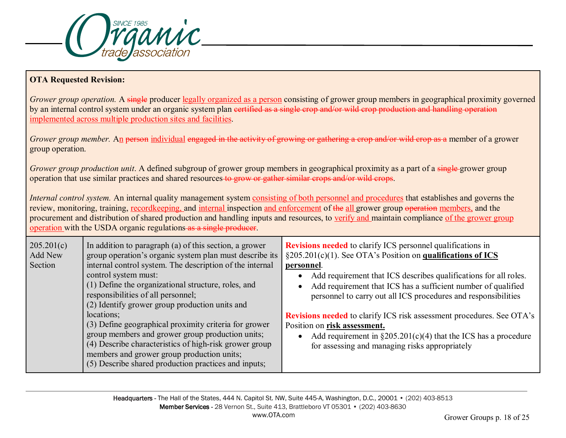

## **OTA Requested Revision:**

*Grower group operation.* A single producer legally organized as a person consisting of grower group members in geographical proximity governed by an internal control system under an organic system plan eertified as a single crop and/or wild crop production and handling operation implemented across multiple production sites and facilities.

*Grower group member.* An <del>person</del> individual engaged in the activity of growing or gathering a crop and/or wild crop as a member of a grower group operation.

*Grower group production unit*. A defined subgroup of grower group members in geographical proximity as a part of a single-grower group operation that use similar practices and shared resources to grow or gather similar crops and/or wild crops.

*Internal control system.* An internal quality management system consisting of both personnel and procedures that establishes and governs the review, monitoring, training, recordkeeping, and internal inspection and enforcement of the all grower group operation members, and the procurement and distribution of shared production and handling inputs and resources, to verify and maintain compliance of the grower group operation with the USDA organic regulations as a single producer.

| 205.201(c)<br>Add New<br>Section | In addition to paragraph (a) of this section, a grower<br>group operation's organic system plan must describe its<br>internal control system. The description of the internal<br>control system must:<br>(1) Define the organizational structure, roles, and<br>responsibilities of all personnel;<br>(2) Identify grower group production units and | <b>Revisions needed</b> to clarify ICS personnel qualifications in<br>$\S205.201(c)(1)$ . See OTA's Position on qualifications of ICS<br>personnel.<br>Add requirement that ICS describes qualifications for all roles.<br>Add requirement that ICS has a sufficient number of qualified<br>personnel to carry out all ICS procedures and responsibilities |
|----------------------------------|------------------------------------------------------------------------------------------------------------------------------------------------------------------------------------------------------------------------------------------------------------------------------------------------------------------------------------------------------|------------------------------------------------------------------------------------------------------------------------------------------------------------------------------------------------------------------------------------------------------------------------------------------------------------------------------------------------------------|
|                                  | locations;<br>(3) Define geographical proximity criteria for grower<br>group members and grower group production units;<br>(4) Describe characteristics of high-risk grower group<br>members and grower group production units;<br>(5) Describe shared production practices and inputs;                                                              | <b>Revisions needed</b> to clarify ICS risk assessment procedures. See OTA's<br>Position on risk assessment.<br>Add requirement in $\S 205.201(c)(4)$ that the ICS has a procedure<br>for assessing and managing risks appropriately                                                                                                                       |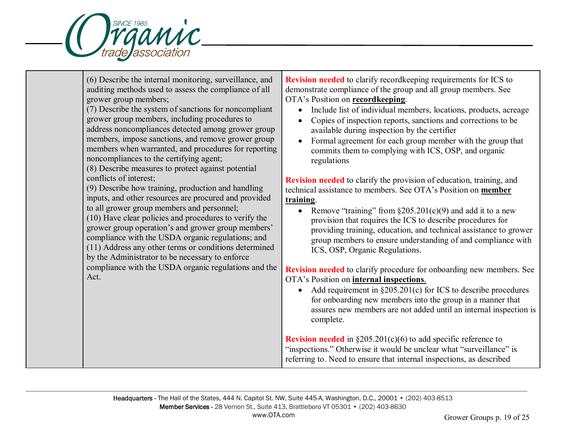

(6) Describe the internal monitoring, surveillance, and auditing methods used to assess the compliance of all grower group members;

(7) Describe the system of sanctions for noncompliant grower group members, including procedures to address noncompliances detected among grower group members, impose sanctions, and remove grower group members when warranted, and procedures for reporting noncompliances to the certifying agent;

(8) Describe measures to protect against potential conflicts of interest;

(9) Describe how training, production and handling inputs, and other resources are procured and provided to all grower group members and personnel;

(10) Have clear policies and procedures to verify the grower group operation's and grower group members' compliance with the USDA organic regulations; and

(11) Address any other terms or conditions determined by the Administrator to be necessary to enforce compliance with the USDA organic regulations and the

Act.

**Revision needed** to clarify recordkeeping requirements for ICS to demonstrate compliance of the group and all group members. See OTA's Position on **recordkeeping**.

- Include list of individual members, locations, products, acreage
- Copies of inspection reports, sanctions and corrections to be available during inspection by the certifier
- Formal agreement for each group member with the group that commits them to complying with ICS, OSP, and organic regulations

**Revision needed** to clarify the provision of education, training, and technical assistance to members. See OTA's Position on **member training**.

• Remove "training" from  $\S205.201(c)(9)$  and add it to a new provision that requires the ICS to describe procedures for providing training, education, and technical assistance to grower group members to ensure understanding of and compliance with ICS, OSP, Organic Regulations.

**Revision needed** to clarify procedure for onboarding new members. See OTA's Position on **internal inspections**.

• Add requirement in  $\S 205.201(c)$  for ICS to describe procedures for onboarding new members into the group in a manner that assures new members are not added until an internal inspection is complete.

**Revision needed** in §205.201(c)(6) to add specific reference to "inspections." Otherwise it would be unclear what "surveillance" is referring to. Need to ensure that internal inspections, as described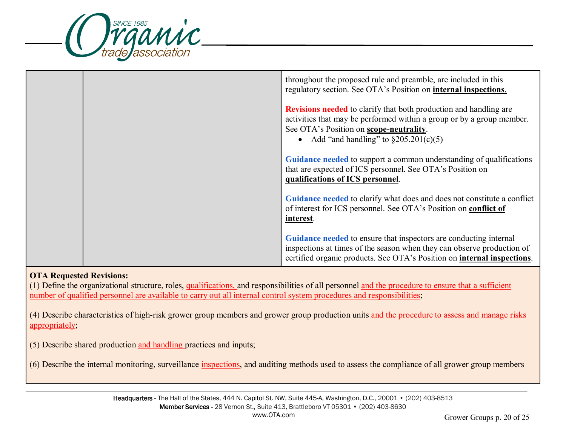

|  | throughout the proposed rule and preamble, are included in this<br>regulatory section. See OTA's Position on internal inspections.                                                                                                                |
|--|---------------------------------------------------------------------------------------------------------------------------------------------------------------------------------------------------------------------------------------------------|
|  | <b>Revisions needed</b> to clarify that both production and handling are<br>activities that may be performed within a group or by a group member.<br>See OTA's Position on <b>scope-neutrality</b> .<br>• Add "and handling" to $\S205.201(c)(5)$ |
|  | Guidance needed to support a common understanding of qualifications<br>that are expected of ICS personnel. See OTA's Position on<br>qualifications of ICS personnel.                                                                              |
|  | Guidance needed to clarify what does and does not constitute a conflict<br>of interest for ICS personnel. See OTA's Position on conflict of<br>interest.                                                                                          |
|  | Guidance needed to ensure that inspectors are conducting internal<br>inspections at times of the season when they can observe production of<br>certified organic products. See OTA's Position on <b>internal inspections</b> .                    |

### **OTA Requested Revisions:**

(1) Define the organizational structure, roles, qualifications, and responsibilities of all personnel and the procedure to ensure that a sufficient number of qualified personnel are available to carry out all internal control system procedures and responsibilities;

(4) Describe characteristics of high-risk grower group members and grower group production units and the procedure to assess and manage risks appropriately;

(5) Describe shared production and handling practices and inputs;

(6) Describe the internal monitoring, surveillance inspections, and auditing methods used to assess the compliance of all grower group members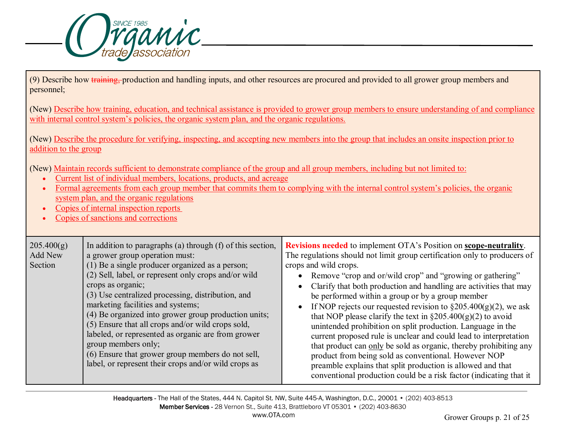

(9) Describe how training, production and handling inputs, and other resources are procured and provided to all grower group members and personnel;.

(New) Describe how training, education, and technical assistance is provided to grower group members to ensure understanding of and compliance with internal control system's policies, the organic system plan, and the organic regulations.

(New) Describe the procedure for verifying, inspecting, and accepting new members into the group that includes an onsite inspection prior to addition to the group

(New) Maintain records sufficient to demonstrate compliance of the group and all group members, including but not limited to:

- Current list of individual members, locations, products, and acreage
- Formal agreements from each group member that commits them to complying with the internal control system's policies, the organic system plan, and the organic regulations
- Copies of internal inspection reports
- Copies of sanctions and corrections

| 205.400(g) | In addition to paragraphs (a) through $(f)$ of this section, | <b>Revisions needed</b> to implement OTA's Position on <b>scope-neutrality</b> . |
|------------|--------------------------------------------------------------|----------------------------------------------------------------------------------|
| Add New    | a grower group operation must:                               | The regulations should not limit group certification only to producers of        |
| Section    | (1) Be a single producer organized as a person;              | crops and wild crops.                                                            |
|            | (2) Sell, label, or represent only crops and/or wild         | Remove "crop and or/wild crop" and "growing or gathering"                        |
|            | crops as organic;                                            | Clarify that both production and handling are activities that may                |
|            | (3) Use centralized processing, distribution, and            | be performed within a group or by a group member                                 |
|            | marketing facilities and systems;                            | If NOP rejects our requested revision to $\S 205.400(g)(2)$ , we ask             |
|            | (4) Be organized into grower group production units;         | that NOP please clarify the text in $\S 205.400(g)(2)$ to avoid                  |
|            | (5) Ensure that all crops and/or wild crops sold,            | unintended prohibition on split production. Language in the                      |
|            | labeled, or represented as organic are from grower           | current proposed rule is unclear and could lead to interpretation                |
|            | group members only;                                          | that product can only be sold as organic, thereby prohibiting any                |
|            | (6) Ensure that grower group members do not sell,            | product from being sold as conventional. However NOP                             |
|            | label, or represent their crops and/or wild crops as         | preamble explains that split production is allowed and that                      |
|            |                                                              | conventional production could be a risk factor (indicating that it               |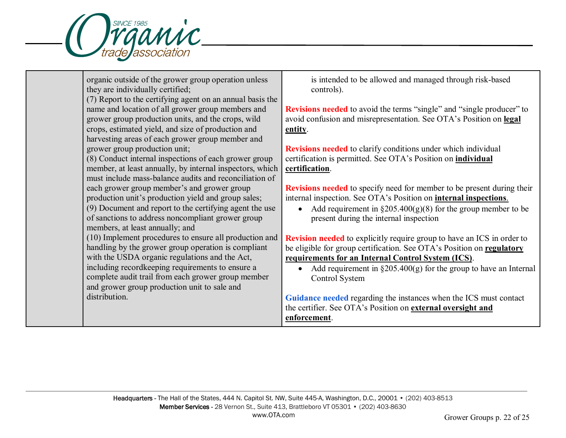

| organic outside of the grower group operation unless<br>they are individually certified;                                                                      | is intended to be allowed and managed through risk-based<br>controls).                                                                                        |
|---------------------------------------------------------------------------------------------------------------------------------------------------------------|---------------------------------------------------------------------------------------------------------------------------------------------------------------|
| (7) Report to the certifying agent on an annual basis the                                                                                                     |                                                                                                                                                               |
| name and location of all grower group members and<br>grower group production units, and the crops, wild<br>crops, estimated yield, and size of production and | <b>Revisions needed</b> to avoid the terms "single" and "single producer" to<br>avoid confusion and misrepresentation. See OTA's Position on legal<br>entity. |
| harvesting areas of each grower group member and                                                                                                              |                                                                                                                                                               |
| grower group production unit;                                                                                                                                 | <b>Revisions needed</b> to clarify conditions under which individual                                                                                          |
| (8) Conduct internal inspections of each grower group                                                                                                         | certification is permitted. See OTA's Position on <i>individual</i>                                                                                           |
| member, at least annually, by internal inspectors, which<br>must include mass-balance audits and reconciliation of                                            | certification.                                                                                                                                                |
| each grower group member's and grower group<br>production unit's production yield and group sales;                                                            | <b>Revisions needed</b> to specify need for member to be present during their<br>internal inspection. See OTA's Position on <b>internal inspections</b> .     |
| (9) Document and report to the certifying agent the use<br>of sanctions to address noncompliant grower group<br>members, at least annually; and               | Add requirement in $\S 205.400(g)(8)$ for the group member to be<br>$\bullet$<br>present during the internal inspection                                       |
| (10) Implement procedures to ensure all production and                                                                                                        | <b>Revision needed</b> to explicitly require group to have an ICS in order to                                                                                 |
| handling by the grower group operation is compliant                                                                                                           | be eligible for group certification. See OTA's Position on regulatory                                                                                         |
| with the USDA organic regulations and the Act,                                                                                                                | requirements for an Internal Control System (ICS).                                                                                                            |
| including recordkeeping requirements to ensure a<br>complete audit trail from each grower group member                                                        | Add requirement in $\S 205.400(g)$ for the group to have an Internal<br>$\bullet$<br>Control System                                                           |
| and grower group production unit to sale and                                                                                                                  |                                                                                                                                                               |
| distribution.                                                                                                                                                 | Guidance needed regarding the instances when the ICS must contact                                                                                             |
|                                                                                                                                                               | the certifier. See OTA's Position on external oversight and<br>enforcement.                                                                                   |
|                                                                                                                                                               |                                                                                                                                                               |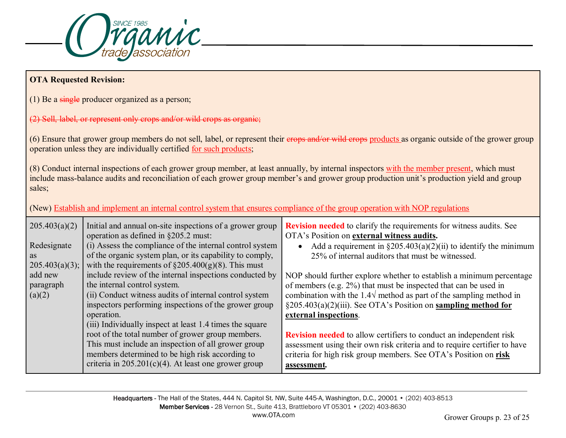

# **OTA Requested Revision:**

(1) Be a single producer organized as a person;

### (2) Sell, label, or represent only crops and/or wild crops as organic;

(6) Ensure that grower group members do not sell, label, or represent their erops and/or wild crops products as organic outside of the grower group operation unless they are individually certified for such products;

(8) Conduct internal inspections of each grower group member, at least annually, by internal inspectors with the member present, which must include mass-balance audits and reconciliation of each grower group member's and grower group production unit's production yield and group sales;

(New) Establish and implement an internal control system that ensures compliance of the group operation with NOP regulations

| 205.403(a)(2)  | Initial and annual on-site inspections of a grower group<br>operation as defined in §205.2 must: | <b>Revision needed</b> to clarify the requirements for witness audits. See<br>OTA's Position on external witness audits. |
|----------------|--------------------------------------------------------------------------------------------------|--------------------------------------------------------------------------------------------------------------------------|
| Redesignate    | (i) Assess the compliance of the internal control system                                         | Add a requirement in $\S205.403(a)(2)(ii)$ to identify the minimum                                                       |
| as             | of the organic system plan, or its capability to comply,                                         | 25% of internal auditors that must be witnessed.                                                                         |
| 205.403(a)(3); | with the requirements of $\S205.400(g)(8)$ . This must                                           |                                                                                                                          |
| add new        | include review of the internal inspections conducted by                                          | NOP should further explore whether to establish a minimum percentage                                                     |
| paragraph      | the internal control system.                                                                     | of members (e.g. 2%) that must be inspected that can be used in                                                          |
| (a)(2)         | (ii) Conduct witness audits of internal control system                                           | combination with the 1.4 $\sqrt$ method as part of the sampling method in                                                |
|                | inspectors performing inspections of the grower group                                            | $\S205.403(a)(2)(iii)$ . See OTA's Position on sampling method for                                                       |
|                | operation.                                                                                       | external inspections.                                                                                                    |
|                | (iii) Individually inspect at least 1.4 times the square                                         |                                                                                                                          |
|                | root of the total number of grower group members.                                                | <b>Revision needed</b> to allow certifiers to conduct an independent risk                                                |
|                | This must include an inspection of all grower group                                              | assessment using their own risk criteria and to require certifier to have                                                |
|                | members determined to be high risk according to                                                  | criteria for high risk group members. See OTA's Position on risk                                                         |
|                | criteria in $205.201(c)(4)$ . At least one grower group                                          | assessment.                                                                                                              |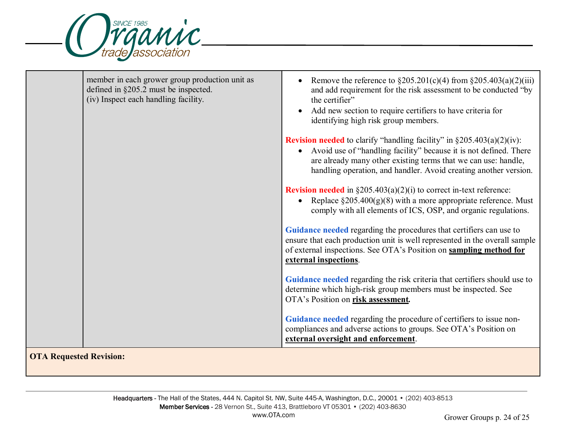

|                     | member in each grower group production unit as<br>defined in §205.2 must be inspected.<br>(iv) Inspect each handling facility. | Remove the reference to $\S 205.201(c)(4)$ from $\S 205.403(a)(2)(iii)$<br>and add requirement for the risk assessment to be conducted "by<br>the certifier"<br>Add new section to require certifiers to have criteria for<br>identifying high risk group members.                             |
|---------------------|--------------------------------------------------------------------------------------------------------------------------------|------------------------------------------------------------------------------------------------------------------------------------------------------------------------------------------------------------------------------------------------------------------------------------------------|
|                     |                                                                                                                                | <b>Revision needed</b> to clarify "handling facility" in $\S 205.403(a)(2)(iv)$ :<br>• Avoid use of "handling facility" because it is not defined. There<br>are already many other existing terms that we can use: handle,<br>handling operation, and handler. Avoid creating another version. |
|                     |                                                                                                                                | <b>Revision needed</b> in $\S205.403(a)(2)(i)$ to correct in-text reference:<br>• Replace $\S 205.400(g)(8)$ with a more appropriate reference. Must<br>comply with all elements of ICS, OSP, and organic regulations.                                                                         |
|                     |                                                                                                                                | Guidance needed regarding the procedures that certifiers can use to<br>ensure that each production unit is well represented in the overall sample<br>of external inspections. See OTA's Position on sampling method for<br>external inspections.                                               |
|                     |                                                                                                                                | Guidance needed regarding the risk criteria that certifiers should use to<br>determine which high-risk group members must be inspected. See<br>OTA's Position on risk assessment.                                                                                                              |
|                     |                                                                                                                                | Guidance needed regarding the procedure of certifiers to issue non-<br>compliances and adverse actions to groups. See OTA's Position on<br>external oversight and enforcement.                                                                                                                 |
| $\alpha$ m $\alpha$ | $\cdots$                                                                                                                       |                                                                                                                                                                                                                                                                                                |